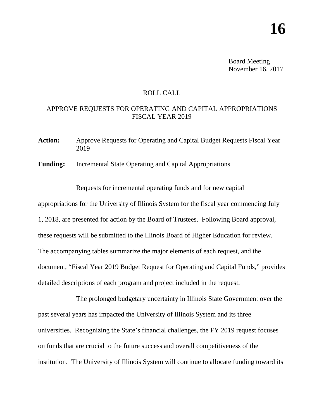Board Meeting November 16, 2017

## ROLL CALL

## APPROVE REQUESTS FOR OPERATING AND CAPITAL APPROPRIATIONS FISCAL YEAR 2019

**Action:** Approve Requests for Operating and Capital Budget Requests Fiscal Year 2019

**Funding:** Incremental State Operating and Capital Appropriations

Requests for incremental operating funds and for new capital

appropriations for the University of Illinois System for the fiscal year commencing July 1, 2018, are presented for action by the Board of Trustees. Following Board approval, these requests will be submitted to the Illinois Board of Higher Education for review. The accompanying tables summarize the major elements of each request, and the document, "Fiscal Year 2019 Budget Request for Operating and Capital Funds," provides detailed descriptions of each program and project included in the request.

The prolonged budgetary uncertainty in Illinois State Government over the past several years has impacted the University of Illinois System and its three universities. Recognizing the State's financial challenges, the FY 2019 request focuses on funds that are crucial to the future success and overall competitiveness of the institution. The University of Illinois System will continue to allocate funding toward its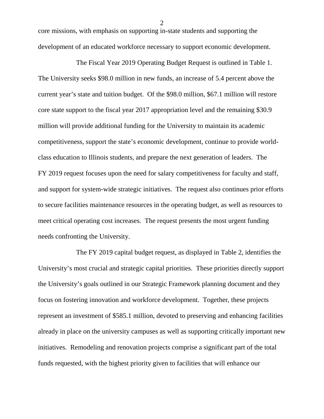core missions, with emphasis on supporting in-state students and supporting the development of an educated workforce necessary to support economic development.

The Fiscal Year 2019 Operating Budget Request is outlined in Table 1. The University seeks \$98.0 million in new funds, an increase of 5.4 percent above the current year's state and tuition budget. Of the \$98.0 million, \$67.1 million will restore core state support to the fiscal year 2017 appropriation level and the remaining \$30.9 million will provide additional funding for the University to maintain its academic competitiveness, support the state's economic development, continue to provide worldclass education to Illinois students, and prepare the next generation of leaders. The FY 2019 request focuses upon the need for salary competitiveness for faculty and staff, and support for system-wide strategic initiatives. The request also continues prior efforts to secure facilities maintenance resources in the operating budget, as well as resources to meet critical operating cost increases. The request presents the most urgent funding needs confronting the University.

The FY 2019 capital budget request, as displayed in Table 2, identifies the University's most crucial and strategic capital priorities. These priorities directly support the University's goals outlined in our Strategic Framework planning document and they focus on fostering innovation and workforce development. Together, these projects represent an investment of \$585.1 million, devoted to preserving and enhancing facilities already in place on the university campuses as well as supporting critically important new initiatives. Remodeling and renovation projects comprise a significant part of the total funds requested, with the highest priority given to facilities that will enhance our

2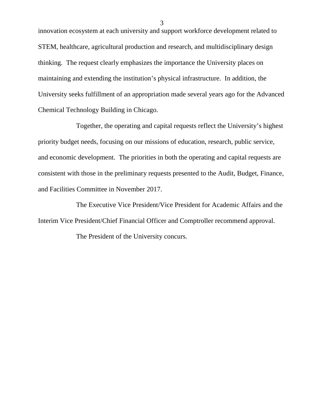innovation ecosystem at each university and support workforce development related to STEM, healthcare, agricultural production and research, and multidisciplinary design thinking. The request clearly emphasizes the importance the University places on maintaining and extending the institution's physical infrastructure. In addition, the University seeks fulfillment of an appropriation made several years ago for the Advanced Chemical Technology Building in Chicago.

Together, the operating and capital requests reflect the University's highest priority budget needs, focusing on our missions of education, research, public service, and economic development. The priorities in both the operating and capital requests are consistent with those in the preliminary requests presented to the Audit, Budget, Finance, and Facilities Committee in November 2017.

The Executive Vice President/Vice President for Academic Affairs and the Interim Vice President/Chief Financial Officer and Comptroller recommend approval.

The President of the University concurs.

3